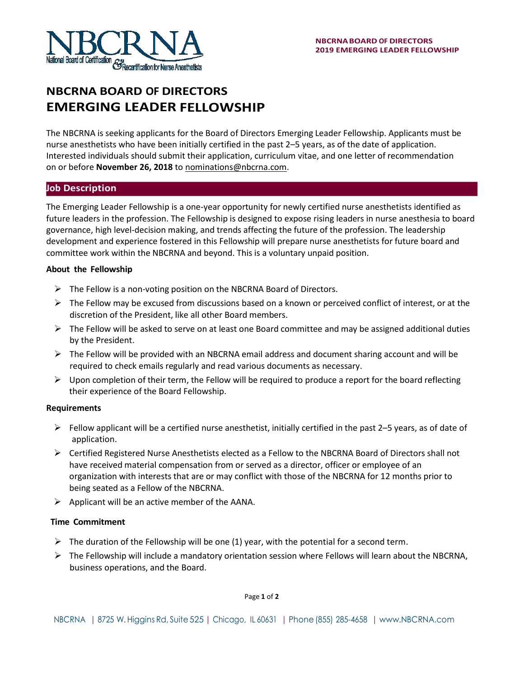

# **NBCRNA BOARD OF DIRECTORS EMERGING LEADER FELLOWSHIP**

The NBCRNA is seeking applicants for the Board of Directors Emerging Leader Fellowship. Applicants must be nurse anesthetists who have been initially certified in the past 2–5 years, as of the date of application. Interested individuals should submit their application, curriculum vitae, and one letter of recommendation on or before **November 26, 2018** to [nominations@nbcrna.com.](mailto:nominations@nbcrna.com)

## **Job Description**

The Emerging Leader Fellowship is a one-year opportunity for newly certified nurse anesthetists identified as future leaders in the profession. The Fellowship is designed to expose rising leaders in nurse anesthesia to board governance, high level-decision making, and trends affecting the future of the profession. The leadership development and experience fostered in this Fellowship will prepare nurse anesthetists for future board and committee work within the NBCRNA and beyond. This is a voluntary unpaid position.

## **About the Fellowship**

- $\triangleright$  The Fellow is a non-voting position on the NBCRNA Board of Directors.
- $\triangleright$  The Fellow may be excused from discussions based on a known or perceived conflict of interest, or at the discretion of the President, like all other Board members.
- $\triangleright$  The Fellow will be asked to serve on at least one Board committee and may be assigned additional duties by the President.
- $\triangleright$  The Fellow will be provided with an NBCRNA email address and document sharing account and will be required to check emails regularly and read various documents as necessary.
- $\triangleright$  Upon completion of their term, the Fellow will be required to produce a report for the board reflecting their experience of the Board Fellowship.

### **Requirements**

- $\triangleright$  Fellow applicant will be a certified nurse anesthetist, initially certified in the past 2–5 years, as of date of application.
- $\triangleright$  Certified Registered Nurse Anesthetists elected as a Fellow to the NBCRNA Board of Directors shall not have received material compensation from or served as a director, officer or employee of an organization with interests that are or may conflict with those of the NBCRNA for 12 months prior to being seated as a Fellow of the NBCRNA.
- $\triangleright$  Applicant will be an active member of the AANA.

### **Time Commitment**

- $\triangleright$  The duration of the Fellowship will be one (1) year, with the potential for a second term.
- $\triangleright$  The Fellowship will include a mandatory orientation session where Fellows will learn about the NBCRNA, business operations, and the Board.

Page **1** of **2**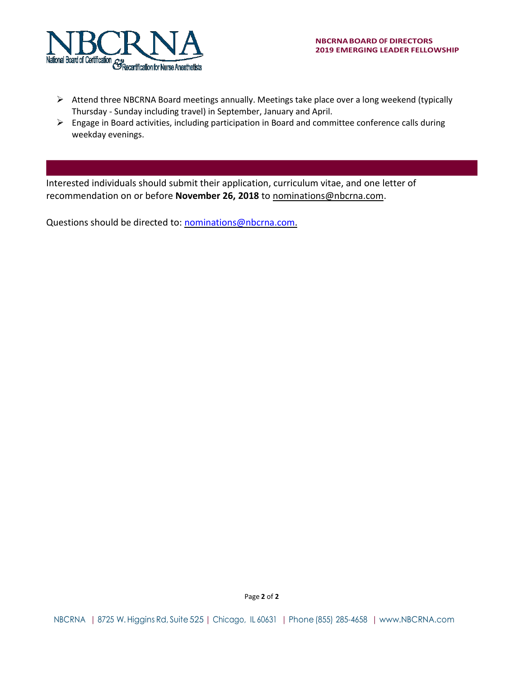

- $\triangleright$  Attend three NBCRNA Board meetings annually. Meetings take place over a long weekend (typically Thursday - Sunday including travel) in September, January and April.
- ➢ Engage in Board activities, including participation in Board and committee conference calls during weekday evenings.

Interested individuals should submit their application, curriculum vitae, and one letter of recommendation on or before **November 26, 2018** to [nominations@nbcrna.com.](mailto:nominations@nbcrna.com)

Questions should be directed to: [nominations@nbcrna.com.](mailto:nominations@nbcrna.com)

Page **2** of **2**